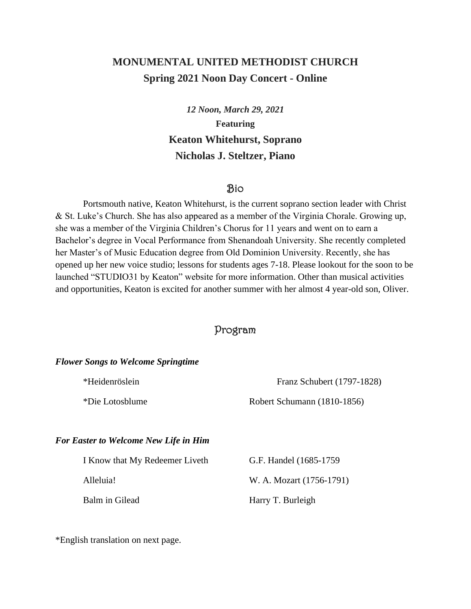# **MONUMENTAL UNITED METHODIST CHURCH Spring 2021 Noon Day Concert - Online**

*12 Noon, March 29, 2021* **Featuring Keaton Whitehurst, Soprano Nicholas J. Steltzer, Piano**

## Bio

Portsmouth native, Keaton Whitehurst, is the current soprano section leader with Christ & St. Luke's Church. She has also appeared as a member of the Virginia Chorale. Growing up, she was a member of the Virginia Children's Chorus for 11 years and went on to earn a Bachelor's degree in Vocal Performance from Shenandoah University. She recently completed her Master's of Music Education degree from Old Dominion University. Recently, she has opened up her new voice studio; lessons for students ages 7-18. Please lookout for the soon to be launched "STUDIO31 by Keaton" website for more information. Other than musical activities and opportunities, Keaton is excited for another summer with her almost 4 year-old son, Oliver.

# Program

#### *Flower Songs to Welcome Springtime*

| *Heidenröslein  | Franz Schubert (1797-1828)  |
|-----------------|-----------------------------|
| *Die Lotosblume | Robert Schumann (1810-1856) |

### *For Easter to Welcome New Life in Him*

| I Know that My Redeemer Liveth | G.F. Handel (1685-1759)  |
|--------------------------------|--------------------------|
| Alleluia!                      | W. A. Mozart (1756-1791) |
| Balm in Gilead                 | Harry T. Burleigh        |

\*English translation on next page.